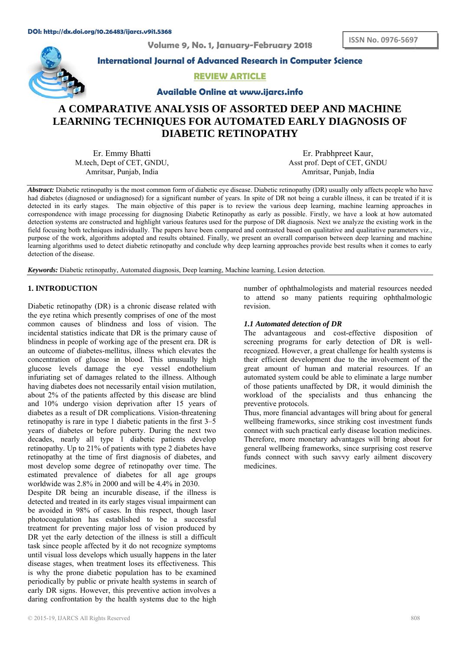**Volu ume 9, No. 1, January y-February y 2018** 



**International Journal of Advanced Research in Computer Science** 

# **REVIEW ARTICLE**

**Available Online at www.ijarcs.info** 

# **A COMPARATIVE ANALYSIS OF ASSORTED DEEP AND MACHINE** LEARNING TECHNIQUES FOR AUTOMATED EARLY DIAGNOSIS OF **DIABETIC RETINOPATHY**

M.tech, Dept of CET, GNDU, Er. Emmy Bhatti Amritsar, Punjab, India

Asst prof. Dept of CET, GNDU Er. Prabh hpreet Kaur, Amritsar, Punjab, India

Abstract: Diabetic retinopathy is the most common form of diabetic eye disease. Diabetic retinopathy (DR) usually only affects people who have had diabetes (diagnosed or undiagnosed) for a significant number of years. In spite of DR not being a curable illness, it can be treated if it is detected in its early stages. The main objective of this paper is to review the various deep learning, machine learning approaches in correspondence with image processing for diagnosing Diabetic Retinopathy as early as possible. Firstly, we have a look at how automated detection systems are constructed and highlight various features used for the purpose of DR diagnosis. Next we analyze the existing work in the field focusing both techniques individually. The papers have been compared and contrasted based on qualitative and qualitative parameters viz., purpose of the work, algorithms adopted and results obtained. Finally, we present an overall comparison between deep learning and machine learning algorithms used to detect diabetic retinopathy and conclude why deep learning approaches provide best results when it comes to early detection of the disease.

Keywords: Diabetic retinopathy, Automated diagnosis, Deep learning, Machine learning, Lesion detection.

# **1. INTRODUCTION**

Diabetic retinopathy (DR) is a chronic disease related with the eye retina which presently comprises of one of the most common causes of blindness and loss of vision. The incidental statistics indicate that DR is the primary cause of blindness in people of working age of the present era. DR is an outcome of diabetes-mellitus, illness which elevates the concentration of glucose in blood. This unusually high glucose levels damage the eye vessel endothelium infuriating set of damages related to the illness. Although having diabetes does not necessarily entail vision mutilation, about 2% of the patients affected by this disease are blind and 10% undergo vision deprivation after 15 years of diabetes as a result of DR complications. Vision-threatening retinopathy is rare in type 1 diabetic patients in the first 3–5 years of diabetes or before puberty. During the next two decades, nearly all type 1 diabetic patients develop retinopathy. Up to 21% of patients with type 2 diabetes have retinopathy at the time of first diagnosis of diabetes, and most develop some degree of retinopathy over time. The estimated prevalence of diabetes for all age groups worldwide was 2.8% in 2000 and will be 4.4% in 2030.

Despite DR being an incurable disease, if the illness is detected and treated in its early stages visual impairment can be avoided in 98% of cases. In this respect, though laser photocoagulation has established to be a successful treatment for preventing major loss of vision produced by DR yet the early detection of the illness is still a difficult task since people affected by it do not recognize symptoms until visual loss develops which usually happens in the later disease stages, when treatment loses its effectiveness. This is why the prone diabetic population has to be examined periodically by public or private health systems in search of early DR signs. However, this preventive action involves a daring confrontation by the health systems due to the high number of ophthalmologists and material resources needed to attend so many patients requiring ophthalmologic revision.

#### *1. 1 Automated detection of D DR*

The advantageous and cost-effective disposition of screening programs for early detection of DR is wellrecognized. However, a great challenge for health systems is their efficient development due to the involvement of the great amount of human and material resources. If an automated system could be able to eliminate a large number of those patients unaffected by DR, it would diminish the workload of the specialists and thus enhancing the preventive protocols.

Thus, more financial advantages will bring about for general wellbeing frameworks, since striking cost investment funds connect with such practical early disease location medicines. Therefore, more monetary advantages will bring about for general wellbeing frameworks, since surprising cost reserve funds connect with such savvy early ailment discovery m medicines.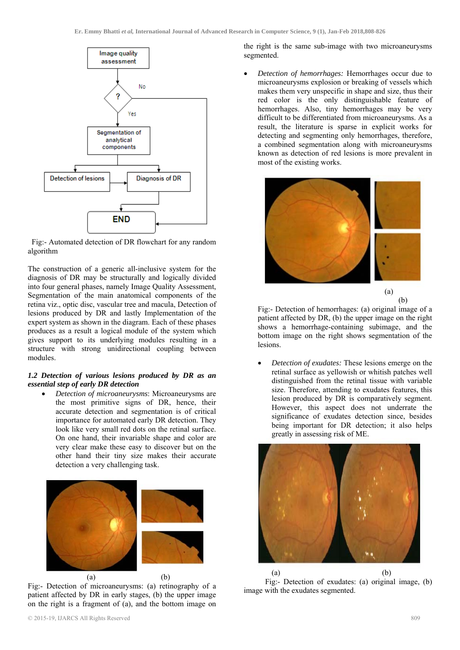

 Fig:- Automated detection of DR flowchart for any random algorithm

The construction of a generic all-inclusive system for the diagnosis of DR may be structurally and logically divided into four general phases, namely Image Quality Assessment, Segmentation of the main anatomical components of the retina viz., optic disc, vascular tree and macula, Detection of lesions produced by DR and lastly Implementation of the expert system as shown in the diagram. Each of these phases produces as a result a logical module of the system which gives support to its underlying modules resulting in a structure with strong unidirectional coupling between modules.

# *1.2 Detection of various lesions produced by DR as an essential step of early DR detection*

 *Detection of microaneurysms*: Microaneurysms are the most primitive signs of DR, hence, their accurate detection and segmentation is of critical importance for automated early DR detection. They look like very small red dots on the retinal surface. On one hand, their invariable shape and color are very clear make these easy to discover but on the other hand their tiny size makes their accurate detection a very challenging task.



Fig:- Detection of microaneurysms: (a) retinography of a patient affected by DR in early stages, (b) the upper image on the right is a fragment of (a), and the bottom image on

the right is the same sub-image with two microaneurysms segmented.

 *Detection of hemorrhages:* Hemorrhages occur due to microaneurysms explosion or breaking of vessels which makes them very unspecific in shape and size, thus their red color is the only distinguishable feature of hemorrhages. Also, tiny hemorrhages may be very difficult to be differentiated from microaneurysms. As a result, the literature is sparse in explicit works for detecting and segmenting only hemorrhages, therefore, a combined segmentation along with microaneurysms known as detection of red lesions is more prevalent in most of the existing works.





Fig:- Detection of hemorrhages: (a) original image of a patient affected by DR, (b) the upper image on the right shows a hemorrhage-containing subimage, and the bottom image on the right shows segmentation of the lesions.

 *Detection of exudates:* These lesions emerge on the retinal surface as yellowish or whitish patches well distinguished from the retinal tissue with variable size. Therefore, attending to exudates features, this lesion produced by DR is comparatively segment. However, this aspect does not underrate the significance of exudates detection since, besides being important for DR detection; it also helps greatly in assessing risk of ME.



 Fig:- Detection of exudates: (a) original image, (b) image with the exudates segmented.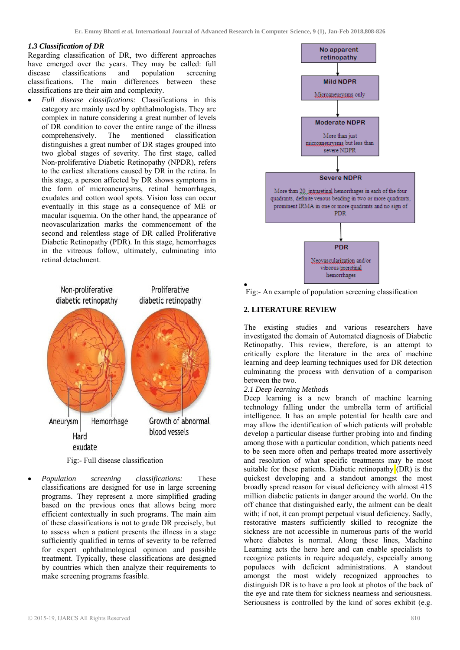#### *1.3 Classification of DR*

Regarding classification of DR, two different approaches have emerged over the years. They may be called: full disease classifications and population screening classifications. The main differences between these classifications are their aim and complexity.

 *Full disease classifications:* Classifications in this category are mainly used by ophthalmologists. They are complex in nature considering a great number of levels of DR condition to cover the entire range of the illness comprehensively. The mentioned classification distinguishes a great number of DR stages grouped into two global stages of severity. The first stage, called Non-proliferative Diabetic Retinopathy (NPDR), refers to the earliest alterations caused by DR in the retina. In this stage, a person affected by DR shows symptoms in the form of microaneurysms, retinal hemorrhages, exudates and cotton wool spots. Vision loss can occur eventually in this stage as a consequence of ME or macular isquemia. On the other hand, the appearance of neovascularization marks the commencement of the second and relentless stage of DR called Proliferative Diabetic Retinopathy (PDR). In this stage, hemorrhages in the vitreous follow, ultimately, culminating into retinal detachment.



Fig:- Full disease classification

 *Population screening classifications:* These classifications are designed for use in large screening programs. They represent a more simplified grading based on the previous ones that allows being more efficient contextually in such programs. The main aim of these classifications is not to grade DR precisely, but to assess when a patient presents the illness in a stage sufficiently qualified in terms of severity to be referred for expert ophthalmological opinion and possible treatment. Typically, these classifications are designed by countries which then analyze their requirements to make screening programs feasible.



Fig:- An example of population screening classification

#### **2. LITERATURE REVIEW**

The existing studies and various researchers have investigated the domain of Automated diagnosis of Diabetic Retinopathy. This review, therefore, is an attempt to critically explore the literature in the area of machine learning and deep learning techniques used for DR detection culminating the process with derivation of a comparison between the two.

#### *2.1 Deep learning Methods*

Deep learning is a new branch of machine learning technology falling under the umbrella term of artificial intelligence. It has an ample potential for health care and may allow the identification of which patients will probable develop a particular disease further probing into and finding among those with a particular condition, which patients need to be seen more often and perhaps treated more assertively and resolution of what specific treatments may be most suitable for these patients. Diabetic retinopathy  $(DR)$  is the quickest developing and a standout amongst the most broadly spread reason for visual deficiency with almost 415 million diabetic patients in danger around the world. On the off chance that distinguished early, the ailment can be dealt with; if not, it can prompt perpetual visual deficiency. Sadly, restorative masters sufficiently skilled to recognize the sickness are not accessible in numerous parts of the world where diabetes is normal. Along these lines, Machine Learning acts the hero here and can enable specialists to recognize patients in require adequately, especially among populaces with deficient administrations. A standout amongst the most widely recognized approaches to distinguish DR is to have a pro look at photos of the back of the eye and rate them for sickness nearness and seriousness. Seriousness is controlled by the kind of sores exhibit (e.g.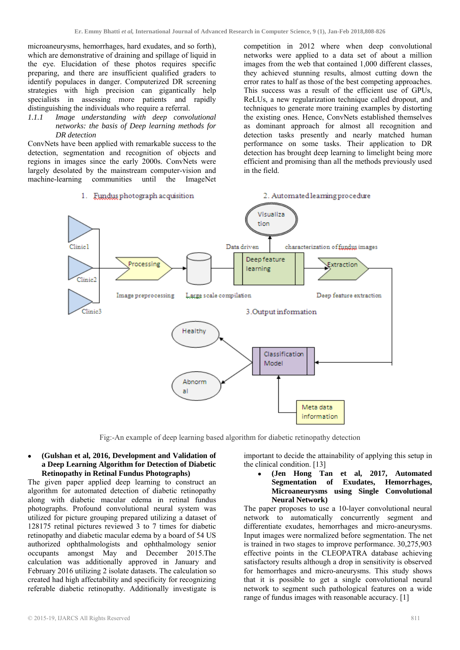in the field.

microaneurysms, hemorrhages, hard exudates, and so forth), which are demonstrative of draining and spillage of liquid in the eye. Elucidation of these photos requires specific preparing, and there are insufficient qualified graders to identify populaces in danger. Computerized DR screening strategies with high precision can gigantically help specialists in assessing more patients and rapidly distinguishing the individuals who require a referral.

*1.1.1 Image understanding with deep convolutional networks: the basis of Deep learning methods for DR detection* 

ConvNets have been applied with remarkable success to the detection, segmentation and recognition of objects and regions in images since the early 2000s. ConvNets were largely desolated by the mainstream computer-vision and machine-learning communities until the ImageNet



1. Fundus photograph acquisition

Fig:-An example of deep learning based algorithm for diabetic retinopathy detection

#### **(Gulshan et al, 2016, Development and Validation of a Deep Learning Algorithm for Detection of Diabetic Retinopathy in Retinal Fundus Photographs)**

The given paper applied deep learning to construct an algorithm for automated detection of diabetic retinopathy along with diabetic macular edema in retinal fundus photographs. Profound convolutional neural system was utilized for picture grouping prepared utilizing a dataset of 128175 retinal pictures reviewed 3 to 7 times for diabetic retinopathy and diabetic macular edema by a board of 54 US authorized ophthalmologists and ophthalmology senior occupants amongst May and December 2015.The calculation was additionally approved in January and February 2016 utilizing 2 isolate datasets. The calculation so created had high affectability and specificity for recognizing referable diabetic retinopathy. Additionally investigate is

important to decide the attainability of applying this setup in the clinical condition. [13]

competition in 2012 where when deep convolutional networks were applied to a data set of about a million images from the web that contained 1,000 different classes, they achieved stunning results, almost cutting down the error rates to half as those of the best competing approaches. This success was a result of the efficient use of GPUs, ReLUs, a new regularization technique called dropout, and techniques to generate more training examples by distorting the existing ones. Hence, ConvNets established themselves as dominant approach for almost all recognition and detection tasks presently and nearly matched human performance on some tasks. Their application to DR detection has brought deep learning to limelight being more efficient and promising than all the methods previously used

2. Automated learning procedure

 **(Jen Hong Tan et al, 2017, Automated Segmentation of Exudates, Hemorrhages, Microaneurysms using Single Convolutional Neural Network)** 

The paper proposes to use a 10-layer convolutional neural network to automatically concurrently segment and differentiate exudates, hemorrhages and micro-aneurysms. Input images were normalized before segmentation. The net is trained in two stages to improve performance. 30,275,903 effective points in the CLEOPATRA database achieving satisfactory results although a drop in sensitivity is observed for hemorrhages and micro-aneurysms. This study shows that it is possible to get a single convolutional neural network to segment such pathological features on a wide range of fundus images with reasonable accuracy. [1]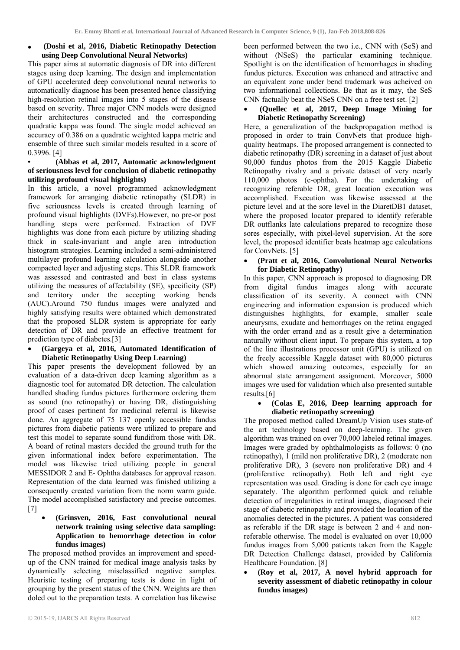# **(Doshi et al, 2016, Diabetic Retinopathy Detection using Deep Convolutional Neural Networks)**

This paper aims at automatic diagnosis of DR into different stages using deep learning. The design and implementation of GPU accelerated deep convolutional neural networks to automatically diagnose has been presented hence classifying high-resolution retinal images into 5 stages of the disease based on severity. Three major CNN models were designed their architectures constructed and the corresponding quadratic kappa was found. The single model achieved an accuracy of 0.386 on a quadratic weighted kappa metric and ensemble of three such similar models resulted in a score of 0.3996. [4]

# **• (Abbas et al, 2017, Automatic acknowledgment of seriousness level for conclusion of diabetic retinopathy utilizing profound visual highlights)**

In this article, a novel programmed acknowledgment framework for arranging diabetic retinopathy (SLDR) in five seriousness levels is created through learning of profound visual highlights (DVFs).However, no pre-or post handling steps were performed. Extraction of DVF highlights was done from each picture by utilizing shading thick in scale-invariant and angle area introduction histogram strategies. Learning included a semi-administered multilayer profound learning calculation alongside another compacted layer and adjusting steps. This SLDR framework was assessed and contrasted and best in class systems utilizing the measures of affectability (SE), specificity (SP) and territory under the accepting working bends (AUC).Around 750 fundus images were analyzed and highly satisfying results were obtained which demonstrated that the proposed SLDR system is appropriate for early detection of DR and provide an effective treatment for prediction type of diabetes.[3]

#### **(Gargeya et al, 2016, Automated Identification of Diabetic Retinopathy Using Deep Learning)**

This paper presents the development followed by an evaluation of a data-driven deep learning algorithm as a diagnostic tool for automated DR detection. The calculation handled shading fundus pictures furthermore ordering them as sound (no retinopathy) or having DR, distinguishing proof of cases pertinent for medicinal referral is likewise done. An aggregate of 75 137 openly accessible fundus pictures from diabetic patients were utilized to prepare and test this model to separate sound fundifrom those with DR. A board of retinal masters decided the ground truth for the given informational index before experimentation. The model was likewise tried utilizing people in general MESSIDOR 2 and E- Ophtha databases for approval reason. Representation of the data learned was finished utilizing a consequently created variation from the norm warm guide. The model accomplished satisfactory and precise outcomes. [7]

# **(Grinsven, 2016, Fast convolutional neural network training using selective data sampling: Application to hemorrhage detection in color fundus images)**

The proposed method provides an improvement and speedup of the CNN trained for medical image analysis tasks by dynamically selecting misclassified negative samples. Heuristic testing of preparing tests is done in light of grouping by the present status of the CNN. Weights are then doled out to the preparation tests. A correlation has likewise

been performed between the two i.e., CNN with (SeS) and without (NSeS) the particular examining technique. Spotlight is on the identification of hemorrhages in shading fundus pictures. Execution was enhanced and attractive and an equivalent zone under bend trademark was acheived on two informational collections. Be that as it may, the SeS CNN factually beat the NSeS CNN on a free test set. [2]

# **(Quellec et al, 2017, Deep Image Mining for Diabetic Retinopathy Screening)**

Here, a generalization of the backpropagation method is proposed in order to train ConvNets that produce highquality heatmaps. The proposed arrangement is connected to diabetic retinopathy (DR) screening in a dataset of just about 90,000 fundus photos from the 2015 Kaggle Diabetic Retinopathy rivalry and a private dataset of very nearly 110,000 photos (e-ophtha). For the undertaking of recognizing referable DR, great location execution was accomplished. Execution was likewise assessed at the picture level and at the sore level in the DiaretDB1 dataset, where the proposed locator prepared to identify referable DR outflanks late calculations prepared to recognize those sores especially, with pixel-level supervision. At the sore level, the proposed identifier beats heatmap age calculations for ConvNets. [5]

# **(Pratt et al, 2016, Convolutional Neural Networks for Diabetic Retinopathy)**

In this paper, CNN approach is proposed to diagnosing DR from digital fundus images along with accurate classification of its severity. A connect with CNN engineering and information expansion is produced which distinguishes highlights, for example, smaller scale aneurysms, exudate and hemorrhages on the retina engaged with the order errand and as a result give a determination naturally without client input. To prepare this system, a top of the line illustrations processor unit (GPU) is utilized on the freely accessible Kaggle dataset with 80,000 pictures which showed amazing outcomes, especially for an abnormal state arrangement assignment. Moreover, 5000 images wre used for validation which also presented suitable results.[6]

# **(Colas E, 2016, Deep learning approach for diabetic retinopathy screening)**

The proposed method called DreamUp Vision uses state-of the art technology based on deep-learning. The given algorithm was trained on over 70,000 labeled retinal images. Images were graded by ophthalmologists as follows: 0 (no retinopathy), 1 (mild non proliferative DR), 2 (moderate non proliferative DR), 3 (severe non proliferative DR) and 4 (proliferative retinopathy). Both left and right eye representation was used. Grading is done for each eye image separately. The algorithm performed quick and reliable detection of irregularities in retinal images, diagnosed their stage of diabetic retinopathy and provided the location of the anomalies detected in the pictures. A patient was considered as referable if the DR stage is between 2 and 4 and nonreferable otherwise. The model is evaluated on over 10,000 fundus images from 5,000 patients taken from the Kaggle DR Detection Challenge dataset, provided by California Healthcare Foundation. [8]

 **(Roy et al, 2017, A novel hybrid approach for severity assessment of diabetic retinopathy in colour fundus images)**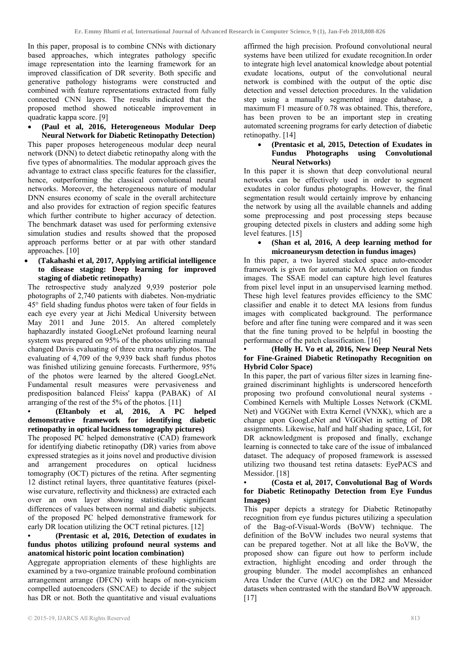In this paper, proposal is to combine CNNs with dictionary based approaches, which integrates pathology specific image representation into the learning framework for an improved classification of DR severity. Both specific and generative pathology histograms were constructed and combined with feature representations extracted from fully connected CNN layers. The results indicated that the proposed method showed noticeable improvement in quadratic kappa score. [9]

 **(Paul et al, 2016, Heterogeneous Modular Deep Neural Network for Diabetic Retinopathy Detection)**  This paper proposes heterogeneous modular deep neural network (DNN) to detect diabetic retinopathy along with the five types of abnormalities. The modular approach gives the advantage to extract class specific features for the classifier, hence, outperforming the classical convolutional neural networks. Moreover, the heterogeneous nature of modular DNN ensures economy of scale in the overall architecture and also provides for extraction of region specific features which further contribute to higher accuracy of detection. The benchmark dataset was used for performing extensive simulation studies and results showed that the proposed approach performs better or at par with other standard approaches. [10]

 **(Takahashi et al, 2017, Applying artificial intelligence to disease staging: Deep learning for improved staging of diabetic retinopathy)** 

The retrospective study analyzed 9,939 posterior pole photographs of 2,740 patients with diabetes. Non-mydriatic 45° field shading fundus photos were taken of four fields in each eye every year at Jichi Medical University between May 2011 and June 2015. An altered completely haphazardly instated GoogLeNet profound learning neural system was prepared on 95% of the photos utilizing manual changed Davis evaluating of three extra nearby photos. The evaluating of 4,709 of the 9,939 back shaft fundus photos was finished utilizing genuine forecasts. Furthermore, 95% of the photos were learned by the altered GoogLeNet. Fundamental result measures were pervasiveness and predisposition balanced Fleiss' kappa (PABAK) of AI arranging of the rest of the 5% of the photos. [11]

**• (Eltanboly et al, 2016, A PC helped demonstrative framework for identifying diabetic retinopathy in optical lucidness tomography pictures)**  The proposed PC helped demonstrative (CAD) framework for identifying diabetic retinopathy (DR) varies from above expressed strategies as it joins novel and productive division and arrangement procedures on optical lucidness tomography (OCT) pictures of the retina. After segmenting 12 distinct retinal layers, three quantitative features (pixelwise curvature, reflectivity and thickness) are extracted each over an own layer showing statistically significant differences of values between normal and diabetic subjects. of the proposed PC helped demonstrative framework for early DR location utilizing the OCT retinal pictures. [12]

# **• (Prentasic et al, 2016, Detection of exudates in fundus photos utilizing profound neural systems and anatomical historic point location combination)**

Aggregate appropriation elements of these highlights are examined by a two-organize trainable profound combination arrangement arrange (DFCN) with heaps of non-cynicism compelled autoencoders (SNCAE) to decide if the subject has DR or not. Both the quantitative and visual evaluations

affirmed the high precision. Profound convolutional neural systems have been utilized for exudate recognition.In order to integrate high level anatomical knowledge about potential exudate locations, output of the convolutional neural network is combined with the output of the optic disc detection and vessel detection procedures. In the validation step using a manually segmented image database, a maximum F1 measure of 0.78 was obtained. This, therefore, has been proven to be an important step in creating automated screening programs for early detection of diabetic retinopathy. [14]

#### **(Prentasic et al, 2015, Detection of Exudates in Fundus Photographs using Convolutional Neural Networks)**

In this paper it is shown that deep convolutional neural networks can be effectively used in order to segment exudates in color fundus photographs. However, the final segmentation result would certainly improve by enhancing the network by using all the available channels and adding some preprocessing and post processing steps because grouping detected pixels in clusters and adding some high level features. [15]

## **(Shan et al, 2016, A deep learning method for microaneurysm detection in fundus images)**

In this paper, a two layered stacked space auto-encoder framework is given for automatic MA detection on fundus images. The SSAE model can capture high level features from pixel level input in an unsupervised learning method. These high level features provides efficiency to the SMC classifier and enable it to detect MA lesions from fundus images with complicated background. The performance before and after fine tuning were compared and it was seen that the fine tuning proved to be helpful in boosting the performance of the patch classification. [16]

# **• (Holly H. Vo et al, 2016, New Deep Neural Nets for Fine-Grained Diabetic Retinopathy Recognition on Hybrid Color Space)**

In this paper, the part of various filter sizes in learning finegrained discriminant highlights is underscored henceforth proposing two profound convolutional neural systems - Combined Kernels with Multiple Losses Network (CKML Net) and VGGNet with Extra Kernel (VNXK), which are a change upon GoogLeNet and VGGNet in setting of DR assignments. Likewise, half and half shading space, LGI, for DR acknowledgment is proposed and finally, exchange learning is connected to take care of the issue of imbalanced dataset. The adequacy of proposed framework is assessed utilizing two thousand test retina datasets: EyePACS and Messidor. [18]

#### **• (Costa et al, 2017, Convolutional Bag of Words for Diabetic Retinopathy Detection from Eye Fundus Images)**

This paper depicts a strategy for Diabetic Retinopathy recognition from eye fundus pictures utilizing a speculation of the Bag-of-Visual-Words (BoVW) technique. The definition of the BoVW includes two neural systems that can be prepared together. Not at all like the BoVW, the proposed show can figure out how to perform include extraction, highlight encoding and order through the grouping blunder. The model accomplishes an enhanced Area Under the Curve (AUC) on the DR2 and Messidor datasets when contrasted with the standard BoVW approach. [17]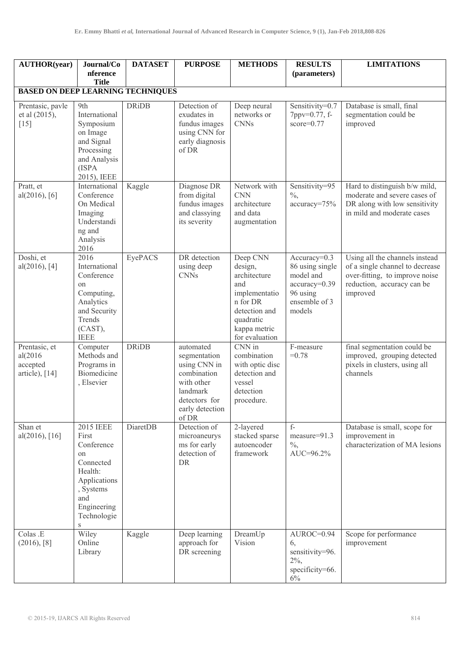| <b>AUTHOR(year)</b>                                    | Journal/Co<br>nference<br><b>Title</b>                                                                                                       | <b>DATASET</b> | <b>PURPOSE</b>                                                                                                                  | <b>METHODS</b>                                                                                                                          | <b>RESULTS</b><br>(parameters)                                                                         | <b>LIMITATIONS</b>                                                                                                                            |
|--------------------------------------------------------|----------------------------------------------------------------------------------------------------------------------------------------------|----------------|---------------------------------------------------------------------------------------------------------------------------------|-----------------------------------------------------------------------------------------------------------------------------------------|--------------------------------------------------------------------------------------------------------|-----------------------------------------------------------------------------------------------------------------------------------------------|
| <b>BASED ON DEEP LEARNING TECHNIQUES</b>               |                                                                                                                                              |                |                                                                                                                                 |                                                                                                                                         |                                                                                                        |                                                                                                                                               |
| Prentasic, pavle<br>et al (2015),<br>$[15]$            | 9th<br>International<br>Symposium<br>on Image<br>and Signal<br>Processing<br>and Analysis<br>(ISPA<br>2015), IEEE                            | <b>DRiDB</b>   | Detection of<br>exudates in<br>fundus images<br>using CNN for<br>early diagnosis<br>of DR                                       | Deep neural<br>networks or<br><b>CNNs</b>                                                                                               | Sensitivity=0.7<br>7ppv=0.77, f-<br>$score=0.77$                                                       | Database is small, final<br>segmentation could be<br>improved                                                                                 |
| Pratt, et<br>al(2016), [6]                             | International<br>Conference<br>On Medical<br>Imaging<br>Understandi<br>ng and<br>Analysis<br>2016                                            | Kaggle         | Diagnose DR<br>from digital<br>fundus images<br>and classying<br>its severity                                                   | Network with<br><b>CNN</b><br>architecture<br>and data<br>augmentation                                                                  | Sensitivity=95<br>$\%$ ,<br>accuracy=75%                                                               | Hard to distinguish b/w mild,<br>moderate and severe cases of<br>DR along with low sensitivity<br>in mild and moderate cases                  |
| Doshi, et<br>al(2016), [4]                             | 2016<br>International<br>Conference<br>on<br>Computing,<br>Analytics<br>and Security<br>Trends<br>(CAST),<br><b>IEEE</b>                     | EyePACS        | DR detection<br>using deep<br><b>CNNs</b>                                                                                       | Deep CNN<br>design,<br>architecture<br>and<br>implementatio<br>n for DR<br>detection and<br>quadratic<br>kappa metric<br>for evaluation | $Accuracy=0.3$<br>86 using single<br>model and<br>accuracy=0.39<br>96 using<br>ensemble of 3<br>models | Using all the channels instead<br>of a single channel to decrease<br>over-fitting, to improve noise<br>reduction, accuracy can be<br>improved |
| Prentasic, et<br>al(2016<br>accepted<br>article), [14] | Computer<br>Methods and<br>Programs in<br>Biomedicine<br>, Elsevier                                                                          | <b>DRiDB</b>   | automated<br>segmentation<br>using CNN in<br>combination<br>with other<br>landmark<br>detectors for<br>early detection<br>of DR | CNN in<br>combination<br>with optic disc<br>detection and<br>vessel<br>detection<br>procedure.                                          | F-measure<br>$=0.78$                                                                                   | final segmentation could be<br>improved, grouping detected<br>pixels in clusters, using all<br>channels                                       |
| Shan et<br>al(2016), [16]                              | <b>2015 IEEE</b><br>First<br>Conference<br>on<br>Connected<br>Health:<br>Applications<br>, Systems<br>and<br>Engineering<br>Technologie<br>S | DiaretDB       | Detection of<br>microaneurys<br>ms for early<br>detection of<br><b>DR</b>                                                       | 2-layered<br>stacked sparse<br>autoencoder<br>framework                                                                                 | $f -$<br>measure=91.3<br>$\%$ ,<br>AUC=96.2%                                                           | Database is small, scope for<br>improvement in<br>characterization of MA lesions                                                              |
| Colas .E<br>(2016), [8]                                | Wiley<br>Online<br>Library                                                                                                                   | Kaggle         | Deep learning<br>approach for<br>DR screening                                                                                   | DreamUp<br>Vision                                                                                                                       | AUROC=0.94<br>6,<br>sensitivity=96.<br>$2\%,$<br>specificity=66.<br>6%                                 | Scope for performance<br>improvement                                                                                                          |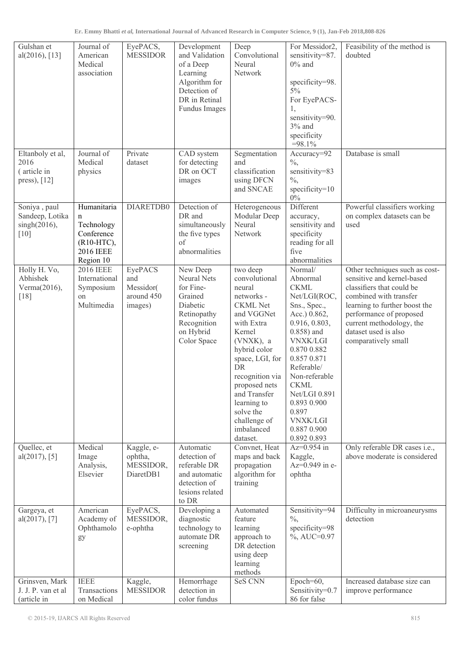| Gulshan et<br>al(2016), [13]                               | Journal of<br>American<br>Medical<br>association                                                      | EyePACS,<br><b>MESSIDOR</b>                          | Development<br>and Validation<br>of a Deep<br>Learning<br>Algorithm for<br>Detection of<br>DR in Retinal<br>Fundus Images    | Deep<br>Convolutional<br>Neural<br>Network                                                                                                                                                                                                                                                 | For Messidor2,<br>sensitivity=87.<br>$0\%$ and<br>specificity=98.<br>$5\%$<br>For EyePACS-<br>1,<br>sensitivity=90.<br>$3%$ and<br>specificity<br>$=98.1\%$                                                                                                                                                   | Feasibility of the method is<br>doubted                                                                                                                                                                                                                    |
|------------------------------------------------------------|-------------------------------------------------------------------------------------------------------|------------------------------------------------------|------------------------------------------------------------------------------------------------------------------------------|--------------------------------------------------------------------------------------------------------------------------------------------------------------------------------------------------------------------------------------------------------------------------------------------|---------------------------------------------------------------------------------------------------------------------------------------------------------------------------------------------------------------------------------------------------------------------------------------------------------------|------------------------------------------------------------------------------------------------------------------------------------------------------------------------------------------------------------------------------------------------------------|
| Eltanboly et al,<br>2016<br>(article in<br>press), [12]    | Journal of<br>Medical<br>physics                                                                      | Private<br>dataset                                   | CAD system<br>for detecting<br>DR on OCT<br>images                                                                           | Segmentation<br>and<br>classification<br>using DFCN<br>and SNCAE                                                                                                                                                                                                                           | Accuracy=92<br>$\frac{0}{6}$<br>sensitivity=83<br>$\frac{0}{6}$<br>specificity=10<br>$0\%$                                                                                                                                                                                                                    | Database is small                                                                                                                                                                                                                                          |
| Soniya, paul<br>Sandeep, Lotika<br>$singh(2016)$ ,<br>[10] | Humanitaria<br>$\mathbf n$<br>Technology<br>Conference<br>(R10-HTC),<br><b>2016 IEEE</b><br>Region 10 | DIARETDB0                                            | Detection of<br>DR and<br>simultaneously<br>the five types<br>of<br>abnormalities                                            | Heterogeneous<br>Modular Deep<br>Neural<br>Network                                                                                                                                                                                                                                         | Different<br>accuracy,<br>sensitivity and<br>specificity<br>reading for all<br>five<br>abnormalities                                                                                                                                                                                                          | Powerful classifiers working<br>on complex datasets can be<br>used                                                                                                                                                                                         |
| Holly H. Vo,<br>Abhishek<br>Verma(2016),<br>$[18]$         | <b>2016 IEEE</b><br>International<br>Symposium<br>on<br>Multimedia                                    | EyePACS<br>and<br>Messidor(<br>around 450<br>images) | New Deep<br><b>Neural Nets</b><br>for Fine-<br>Grained<br>Diabetic<br>Retinopathy<br>Recognition<br>on Hybrid<br>Color Space | two deep<br>convolutional<br>neural<br>networks -<br><b>CKML</b> Net<br>and VGGNet<br>with Extra<br>Kernel<br>(VNXK), a<br>hybrid color<br>space, LGI, for<br>DR<br>recognition via<br>proposed nets<br>and Transfer<br>learning to<br>solve the<br>challenge of<br>imbalanced<br>dataset. | Normal/<br>Abnormal<br><b>CKML</b><br>Net/LGI(ROC,<br>Sns., Spec.,<br>Acc.) 0.862,<br>0.916, 0.803,<br>$0.858$ ) and<br><b>VNXK/LGI</b><br>0.870 0.882<br>0.857 0.871<br>Referable/<br>Non-referable<br><b>CKML</b><br>Net/LGI 0.891<br>0.893 0.900<br>0.897<br><b>VNXK/LGI</b><br>0.887 0.900<br>0.892 0.893 | Other techniques such as cost-<br>sensitive and kernel-based<br>classifiers that could be<br>combined with transfer<br>learning to further boost the<br>performance of proposed<br>current methodology, the<br>dataset used is also<br>comparatively small |
| Quellec, et<br>al(2017), [5]                               | Medical<br>Image<br>Analysis,<br>Elsevier                                                             | Kaggle, e-<br>ophtha,<br>MESSIDOR,<br>DiaretDB1      | Automatic<br>detection of<br>referable DR<br>and automatic<br>detection of<br>lesions related<br>to DR                       | Convnet, Heat<br>maps and back<br>propagation<br>algorithm for<br>training                                                                                                                                                                                                                 | $Az=0.954$ in<br>Kaggle,<br>Az=0.949 in e-<br>ophtha                                                                                                                                                                                                                                                          | Only referable DR cases i.e.,<br>above moderate is considered                                                                                                                                                                                              |
| Gargeya, et<br>al(2017), [7]                               | American<br>Academy of<br>Ophthamolo<br>gy                                                            | EyePACS,<br>MESSIDOR,<br>e-ophtha                    | Developing a<br>diagnostic<br>technology to<br>automate DR<br>screening                                                      | Automated<br>feature<br>learning<br>approach to<br>DR detection<br>using deep<br>learning<br>methods                                                                                                                                                                                       | Sensitivity=94<br>$\frac{0}{6}$<br>specificity=98<br>$\%$ , AUC=0.97                                                                                                                                                                                                                                          | Difficulty in microaneurysms<br>detection                                                                                                                                                                                                                  |
| Grinsven, Mark<br>J. J. P. van et al<br>(article in        | <b>IEEE</b><br>Transactions<br>on Medical                                                             | Kaggle,<br><b>MESSIDOR</b>                           | Hemorrhage<br>detection in<br>color fundus                                                                                   | SeS CNN                                                                                                                                                                                                                                                                                    | Epoch= $60$ ,<br>Sensitivity=0.7<br>86 for false                                                                                                                                                                                                                                                              | Increased database size can<br>improve performance                                                                                                                                                                                                         |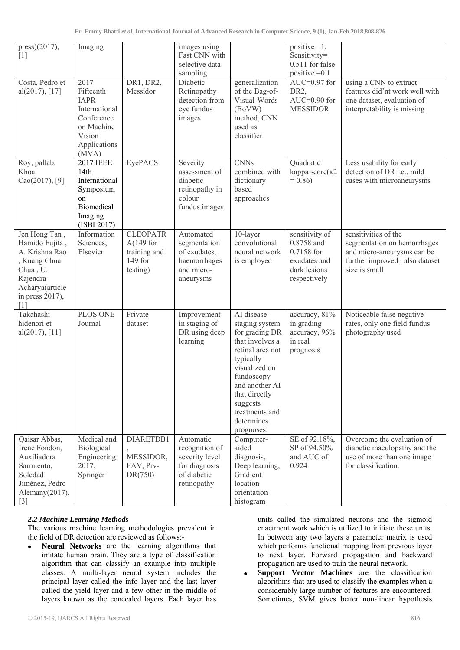| press)(2017),<br>$[1]$                                                                                                                 | Imaging                                                                                                          |                                                                        | images using<br>Fast CNN with<br>selective data<br>sampling                                  |                                                                                                                                                                                                                                 | positive $=1$ ,<br>Sensitivity=<br>$0.511$ for false<br>positive $=0.1$                    |                                                                                                                                      |
|----------------------------------------------------------------------------------------------------------------------------------------|------------------------------------------------------------------------------------------------------------------|------------------------------------------------------------------------|----------------------------------------------------------------------------------------------|---------------------------------------------------------------------------------------------------------------------------------------------------------------------------------------------------------------------------------|--------------------------------------------------------------------------------------------|--------------------------------------------------------------------------------------------------------------------------------------|
| Costa, Pedro et<br>al(2017), [17]                                                                                                      | 2017<br>Fifteenth<br><b>IAPR</b><br>International<br>Conference<br>on Machine<br>Vision<br>Applications<br>(MVA) | DR1, DR2,<br>Messidor                                                  | Diabetic<br>Retinopathy<br>detection from<br>eye fundus<br>images                            | generalization<br>of the Bag-of-<br>Visual-Words<br>(BoVW)<br>method, CNN<br>used as<br>classifier                                                                                                                              | AUC= $0.97$ for<br>DR <sub>2</sub><br>$AUC=0.90$ for<br><b>MESSIDOR</b>                    | using a CNN to extract<br>features did'nt work well with<br>one dataset, evaluation of<br>interpretability is missing                |
| Roy, pallab,<br>Khoa<br>Cao(2017), [9]                                                                                                 | <b>2017 IEEE</b><br>14th<br>International<br>Symposium<br>on<br>Biomedical<br>Imaging<br>(ISBI 2017)             | EyePACS                                                                | Severity<br>assessment of<br>diabetic<br>retinopathy in<br>colour<br>fundus images           | <b>CNNs</b><br>combined with<br>dictionary<br>based<br>approaches                                                                                                                                                               | Quadratic<br>kappa score(k2<br>$= 0.86$                                                    | Less usability for early<br>detection of DR i.e., mild<br>cases with microaneurysms                                                  |
| Jen Hong Tan,<br>Hamido Fujita,<br>A. Krishna Rao<br>, Kuang Chua<br>Chua, U.<br>Rajendra<br>Acharya(article<br>in press 2017),<br>[1] | Information<br>Sciences,<br>Elsevier                                                                             | <b>CLEOPATR</b><br>A $(149$ for<br>training and<br>149 for<br>testing) | Automated<br>segmentation<br>of exudates,<br>haemorrhages<br>and micro-<br>aneurysms         | 10-layer<br>convolutional<br>neural network<br>is employed                                                                                                                                                                      | sensitivity of<br>0.8758 and<br>0.7158 for<br>exudates and<br>dark lesions<br>respectively | sensitivities of the<br>segmentation on hemorrhages<br>and micro-aneurysms can be<br>further improved, also dataset<br>size is small |
| Takahashi<br>hidenori et<br>al(2017), [11]                                                                                             | PLOS ONE<br>Journal                                                                                              | Private<br>dataset                                                     | Improvement<br>in staging of<br>DR using deep<br>learning                                    | AI disease-<br>staging system<br>for grading DR<br>that involves a<br>retinal area not<br>typically<br>visualized on<br>fundoscopy<br>and another AI<br>that directly<br>suggests<br>treatments and<br>determines<br>prognoses. | accuracy, 81%<br>in grading<br>accuracy, 96%<br>in real<br>prognosis                       | Noticeable false negative<br>rates, only one field fundus<br>photography used                                                        |
| Qaisar Abbas,<br>Irene Fondon,<br>Auxiliadora<br>Sarmiento,<br>Soledad<br>Jiménez, Pedro<br>Alemany(2017),<br>$\lceil 3 \rceil$        | Medical and<br>Biological<br>Engineering<br>2017,<br>Springer                                                    | DIARETDB1<br>MESSIDOR,<br>FAV, Prv-<br>DR(750)                         | Automatic<br>recognition of<br>severity level<br>for diagnosis<br>of diabetic<br>retinopathy | Computer-<br>aided<br>diagnosis,<br>Deep learning,<br>Gradient<br>location<br>orientation<br>histogram                                                                                                                          | SE of 92.18%,<br>SP of 94.50%<br>and AUC of<br>0.924                                       | Overcome the evaluation of<br>diabetic maculopathy and the<br>use of more than one image<br>for classification.                      |

# *2.2 Machine Learning Methods*

The various machine learning methodologies prevalent in the field of DR detection are reviewed as follows:-

• **Neural Networks** are the learning algorithms that imitate human brain. They are a type of classification algorithm that can classify an example into multiple classes. A multi-layer neural system includes the principal layer called the info layer and the last layer called the yield layer and a few other in the middle of layers known as the concealed layers. Each layer has

units called the simulated neurons and the sigmoid enactment work which is utilized to initiate these units. In between any two layers a parameter matrix is used which performs functional mapping from previous layer to next layer. Forward propagation and backward propagation are used to train the neural network.

 **Support Vector Machines** are the classification algorithms that are used to classify the examples when a considerably large number of features are encountered. Sometimes, SVM gives better non-linear hypothesis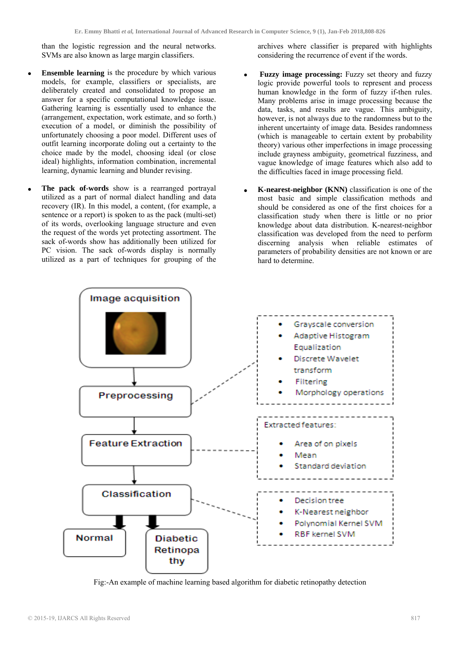than the logistic regression and the neural networks. SVMs are also known as large margin classifiers.

- **Ensemble learning** is the procedure by which various models, for example, classifiers or specialists, are deliberately created and consolidated to propose an answer for a specific computational knowledge issue. Gathering learning is essentially used to enhance the (arrangement, expectation, work estimate, and so forth.) execution of a model, or diminish the possibility of unfortunately choosing a poor model. Different uses of outfit learning incorporate doling out a certainty to the choice made by the model, choosing ideal (or close ideal) highlights, information combination, incremental learning, dynamic learning and blunder revising.
- **The pack of-words** show is a rearranged portrayal utilized as a part of normal dialect handling and data recovery (IR). In this model, a content, (for example, a sentence or a report) is spoken to as the pack (multi-set) of its words, overlooking language structure and even the request of the words yet protecting assortment. The sack of-words show has additionally been utilized for PC vision. The sack of-words display is normally utilized as a part of techniques for grouping of the

archives where classifier is prepared with highlights considering the recurrence of event if the words.

- **Fuzzy image processing:** Fuzzy set theory and fuzzy logic provide powerful tools to represent and process human knowledge in the form of fuzzy if-then rules. Many problems arise in image processing because the data, tasks, and results are vague. This ambiguity, however, is not always due to the randomness but to the inherent uncertainty of image data. Besides randomness (which is manageable to certain extent by probability theory) various other imperfections in image processing include grayness ambiguity, geometrical fuzziness, and vague knowledge of image features which also add to the difficulties faced in image processing field.
- **K-nearest-neighbor (KNN)** classification is one of the most basic and simple classification methods and should be considered as one of the first choices for a classification study when there is little or no prior knowledge about data distribution. K-nearest-neighbor classification was developed from the need to perform discerning analysis when reliable estimates of parameters of probability densities are not known or are hard to determine.



Fig:-An example of machine learning based algorithm for diabetic retinopathy detection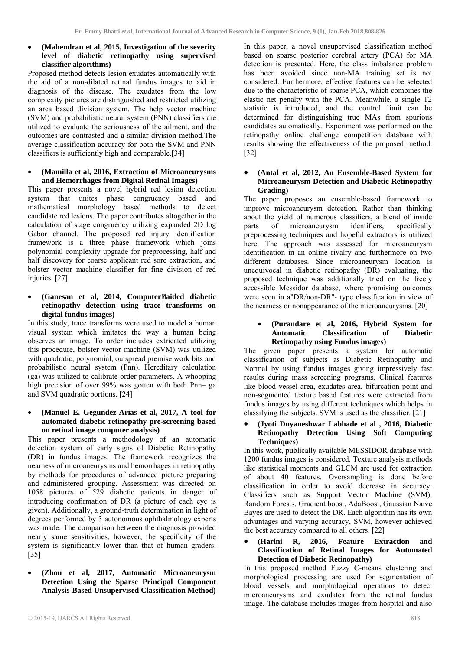## **(Mahendran et al, 2015, Investigation of the severity level of diabetic retinopathy using supervised classifier algorithms)**

Proposed method detects lesion exudates automatically with the aid of a non-dilated retinal fundus images to aid in diagnosis of the disease. The exudates from the low complexity pictures are distinguished and restricted utilizing an area based division system. The help vector machine (SVM) and probabilistic neural system (PNN) classifiers are utilized to evaluate the seriousness of the ailment, and the outcomes are contrasted and a similar division method.The average classification accuracy for both the SVM and PNN classifiers is sufficiently high and comparable.[34]

# **(Mamilla et al, 2016, Extraction of Microaneurysms and Hemorrhages from Digital Retinal Images)**

This paper presents a novel hybrid red lesion detection system that unites phase congruency based and mathematical morphology based methods to detect candidate red lesions. The paper contributes altogether in the calculation of stage congruency utilizing expanded 2D log Gabor channel. The proposed red injury identification framework is a three phase framework which joins polynomial complexity upgrade for preprocessing, half and half discovery for coarse applicant red sore extraction, and bolster vector machine classifier for fine division of red injuries. [27]

## **(Ganesan et al, 2014, Computeraided diabetic retinopathy detection using trace transforms on digital fundus images)**

In this study, trace transforms were used to model a human visual system which imitates the way a human being observes an image. To order includes extricated utilizing this procedure, bolster vector machine (SVM) was utilized with quadratic, polynomial, outspread premise work bits and probabilistic neural system (Pnn). Hereditary calculation (ga) was utilized to calibrate order parameters. A whooping high precision of over 99% was gotten with both Pnn– ga and SVM quadratic portions. [24]

# **(Manuel E. Gegundez-Arias et al, 2017, A tool for automated diabetic retinopathy pre-screening based on retinal image computer analysis)**

This paper presents a methodology of an automatic detection system of early signs of Diabetic Retinopathy (DR) in fundus images. The framework recognizes the nearness of microaneurysms and hemorrhages in retinopathy by methods for procedures of advanced picture preparing and administered grouping. Assessment was directed on 1058 pictures of 529 diabetic patients in danger of introducing confirmation of DR (a picture of each eye is given). Additionally, a ground-truth determination in light of degrees performed by 3 autonomous ophthalmology experts was made. The comparison between the diagnosis provided nearly same sensitivities, however, the specificity of the system is significantly lower than that of human graders. [35]

 **(Zhou et al, 2017, Automatic Microaneurysm Detection Using the Sparse Principal Component Analysis-Based Unsupervised Classification Method)** 

In this paper, a novel unsupervised classification method based on sparse posterior cerebral artery (PCA) for MA detection is presented. Here, the class imbalance problem has been avoided since non-MA training set is not considered. Furthermore, effective features can be selected due to the characteristic of sparse PCA, which combines the elastic net penalty with the PCA. Meanwhile, a single T2 statistic is introduced, and the control limit can be determined for distinguishing true MAs from spurious candidates automatically. Experiment was performed on the retinopathy online challenge competition database with results showing the effectiveness of the proposed method. [32]

# **(Antal et al, 2012, An Ensemble-Based System for Microaneurysm Detection and Diabetic Retinopathy Grading)**

The paper proposes an ensemble-based framework to improve microaneurysm detection. Rather than thinking about the yield of numerous classifiers, a blend of inside parts of microaneurysm identifiers, specifically preprocessing techniques and hopeful extractors is utilized here. The approach was assessed for microaneurysm identification in an online rivalry and furthermore on two different databases. Since microaneurysm location is unequivocal in diabetic retinopathy (DR) evaluating, the proposed technique was additionally tried on the freely accessible Messidor database, where promising outcomes were seen in a"DR/non-DR"- type classification in view of the nearness or nonappearance of the microaneurysms. [20]

#### **(Purandare et al, 2016, Hybrid System for Automatic Classification of Diabetic Retinopathy using Fundus images)**

The given paper presents a system for automatic classification of subjects as Diabetic Retinopathy and Normal by using fundus images giving impressively fast results during mass screening programs. Clinical features like blood vessel area, exudates area, bifurcation point and non-segmented texture based features were extracted from fundus images by using different techniques which helps in classifying the subjects. SVM is used as the classifier. [21]

# **(Jyoti Dnyaneshwar Labhade et al , 2016, Diabetic Retinopathy Detection Using Soft Computing Techniques)**

In this work, publically available MESSIDOR database with 1200 fundus images is considered. Texture analysis methods like statistical moments and GLCM are used for extraction of about 40 features. Oversampling is done before classification in order to avoid decrease in accuracy. Classifiers such as Support Vector Machine (SVM), Random Forests, Gradient boost, AdaBoost, Gaussian Naive Bayes are used to detect the DR. Each algorithm has its own advantages and varying accuracy, SVM, however achieved the best accuracy compared to all others. [22]

#### **(Harini R, 2016, Feature Extraction and Classification of Retinal Images for Automated Detection of Diabetic Retinopathy)**

In this proposed method Fuzzy C-means clustering and morphological processing are used for segmentation of blood vessels and morphological operations to detect microaneurysms and exudates from the retinal fundus image. The database includes images from hospital and also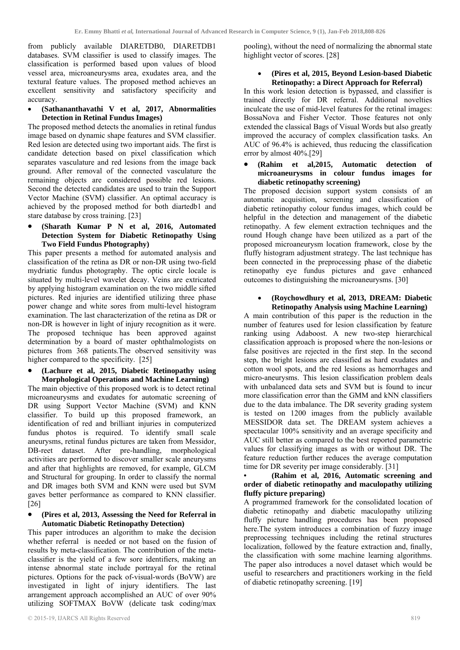from publicly available DIARETDB0, DIARETDB1 databases. SVM classifier is used to classify images. The classification is performed based upon values of blood vessel area, microaneurysms area, exudates area, and the textural feature values. The proposed method achieves an excellent sensitivity and satisfactory specificity and accuracy.

# **(Sathananthavathi V et al, 2017, Abnormalities Detection in Retinal Fundus Images)**

The proposed method detects the anomalies in retinal fundus image based on dynamic shape features and SVM classifier. Red lesion are detected using two important aids. The first is candidate detection based on pixel classification which separates vasculature and red lesions from the image back ground. After removal of the connected vasculature the remaining objects are considered possible red lesions. Second the detected candidates are used to train the Support Vector Machine (SVM) classifier. An optimal accuracy is achieved by the proposed method for both diartedb1 and stare database by cross training. [23]

# **(Sharath Kumar P N et al, 2016, Automated Detection System for Diabetic Retinopathy Using Two Field Fundus Photography)**

This paper presents a method for automated analysis and classification of the retina as DR or non-DR using two-field mydriatic fundus photography. The optic circle locale is situated by multi-level wavelet decay. Veins are extricated by applying histogram examination on the two middle sifted pictures. Red injuries are identified utilizing three phase power change and white sores from multi-level histogram examination. The last characterization of the retina as DR or non-DR is however in light of injury recognition as it were. The proposed technique has been approved against determination by a board of master ophthalmologists on pictures from 368 patients.The observed sensitivity was higher compared to the specificity. [25]

 **(Lachure et al, 2015, Diabetic Retinopathy using Morphological Operations and Machine Learning)** 

The main objective of this proposed work is to detect retinal microaneurysms and exudates for automatic screening of DR using Support Vector Machine (SVM) and KNN classifier. To build up this proposed framework, an identification of red and brilliant injuries in computerized fundus photos is required. To identify small scale aneurysms, retinal fundus pictures are taken from Messidor, DB-reet dataset. After pre-handling, morphological activities are performed to discover smaller scale aneurysms and after that highlights are removed, for example, GLCM and Structural for grouping. In order to classify the normal and DR images both SVM and KNN were used but SVM gaves better performance as compared to KNN classifier. [26]

#### **(Pires et al, 2013, Assessing the Need for Referral in Automatic Diabetic Retinopathy Detection)**

This paper introduces an algorithm to make the decision whether referral is needed or not based on the fusion of results by meta-classification. The contribution of the metaclassifier is the yield of a few sore identifiers, making an intense abnormal state include portrayal for the retinal pictures. Options for the pack of-visual-words (BoVW) are investigated in light of injury identifiers. The last arrangement approach accomplished an AUC of over 90% utilizing SOFTMAX BoVW (delicate task coding/max

pooling), without the need of normalizing the abnormal state highlight vector of scores. [28]

# **(Pires et al, 2015, Beyond Lesion-based Diabetic Retinopathy: a Direct Approach for Referral)**

In this work lesion detection is bypassed, and classifier is trained directly for DR referral. Additional novelties inculcate the use of mid-level features for the retinal images: BossaNova and Fisher Vector. Those features not only extended the classical Bags of Visual Words but also greatly improved the accuracy of complex classification tasks. An AUC of 96.4% is achieved, thus reducing the classification error by almost 40%.[29]

## **(Rahim et al,2015, Automatic detection of microaneurysms in colour fundus images for diabetic retinopathy screening)**

The proposed decision support system consists of an automatic acquisition, screening and classification of diabetic retinopathy colour fundus images, which could be helpful in the detection and management of the diabetic retinopathy. A few element extraction techniques and the round Hough change have been utilized as a part of the proposed microaneurysm location framework, close by the fluffy histogram adjustment strategy. The last technique has been connected in the preprocessing phase of the diabetic retinopathy eye fundus pictures and gave enhanced outcomes to distinguishing the microaneurysms. [30]

# **(Roychowdhury et al, 2013, DREAM: Diabetic Retinopathy Analysis using Machine Learning)**

A main contribution of this paper is the reduction in the number of features used for lesion classification by feature ranking using Adaboost. A new two-step hierarchical classification approach is proposed where the non-lesions or false positives are rejected in the first step. In the second step, the bright lesions are classified as hard exudates and cotton wool spots, and the red lesions as hemorrhages and micro-aneurysms. This lesion classification problem deals with unbalanced data sets and SVM but is found to incur more classification error than the GMM and kNN classifiers due to the data imbalance. The DR severity grading system is tested on 1200 images from the publicly available MESSIDOR data set. The DREAM system achieves a spectacular 100% sensitivity and an average specificity and AUC still better as compared to the best reported parametric values for classifying images as with or without DR. The feature reduction further reduces the average computation time for DR severity per image considerably. [31]

# **• (Rahim et al, 2016, Automatic screening and order of diabetic retinopathy and maculopathy utilizing fluffy picture preparing)**

A programmed framework for the consolidated location of diabetic retinopathy and diabetic maculopathy utilizing fluffy picture handling procedures has been proposed here. The system introduces a combination of fuzzy image preprocessing techniques including the retinal structures localization, followed by the feature extraction and, finally, the classification with some machine learning algorithms. The paper also introduces a novel dataset which would be useful to researchers and practitioners working in the field of diabetic retinopathy screening. [19]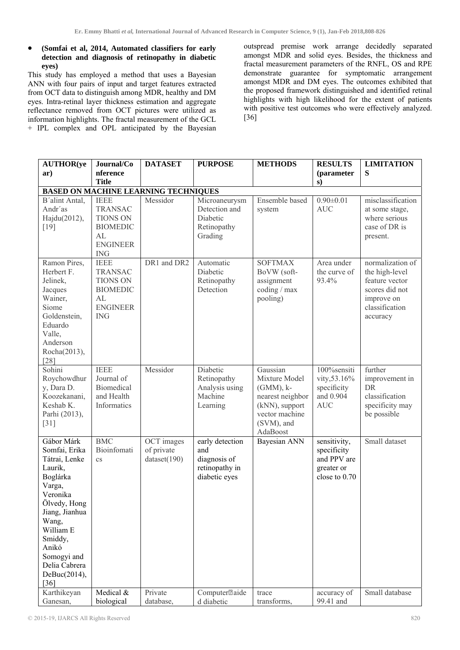# **(Somfai et al, 2014, Automated classifiers for early detection and diagnosis of retinopathy in diabetic eyes)**

This study has employed a method that uses a Bayesian ANN with four pairs of input and target features extracted from OCT data to distinguish among MDR, healthy and DM eyes. Intra-retinal layer thickness estimation and aggregate reflectance removed from OCT pictures were utilized as information highlights. The fractal measurement of the GCL + IPL complex and OPL anticipated by the Bayesian outspread premise work arrange decidedly separated amongst MDR and solid eyes. Besides, the thickness and fractal measurement parameters of the RNFL, OS and RPE demonstrate guarantee for symptomatic arrangement amongst MDR and DM eyes. The outcomes exhibited that the proposed framework distinguished and identified retinal highlights with high likelihood for the extent of patients with positive test outcomes who were effectively analyzed. [36]

| <b>AUTHOR(ye</b>                                                                                                                                                                                                                | Journal/Co                                                                                                 | <b>DATASET</b>                              | <b>PURPOSE</b>                                                            | <b>METHODS</b>                                                                                                                | <b>RESULTS</b>                                                            | <b>LIMITATION</b>                                                                                                  |
|---------------------------------------------------------------------------------------------------------------------------------------------------------------------------------------------------------------------------------|------------------------------------------------------------------------------------------------------------|---------------------------------------------|---------------------------------------------------------------------------|-------------------------------------------------------------------------------------------------------------------------------|---------------------------------------------------------------------------|--------------------------------------------------------------------------------------------------------------------|
| ar)                                                                                                                                                                                                                             | nference                                                                                                   |                                             |                                                                           |                                                                                                                               | (parameter                                                                | S                                                                                                                  |
|                                                                                                                                                                                                                                 | <b>Title</b>                                                                                               |                                             |                                                                           |                                                                                                                               | s)                                                                        |                                                                                                                    |
|                                                                                                                                                                                                                                 |                                                                                                            | <b>BASED ON MACHINE LEARNING TECHNIQUES</b> |                                                                           |                                                                                                                               |                                                                           |                                                                                                                    |
| B'alint Antal,<br>Andr'as<br>Hajdu(2012),<br>$[19]$                                                                                                                                                                             | <b>IEEE</b><br><b>TRANSAC</b><br><b>TIONS ON</b><br><b>BIOMEDIC</b><br>AL<br><b>ENGINEER</b><br><b>ING</b> | Messidor                                    | Microaneurysm<br>Detection and<br>Diabetic<br>Retinopathy<br>Grading      | Ensemble based<br>system                                                                                                      | $0.90 \pm 0.01$<br><b>AUC</b>                                             | misclassification<br>at some stage,<br>where serious<br>case of DR is<br>present.                                  |
| Ramon Pires,<br>Herbert F.<br>Jelinek,<br>Jacques<br>Wainer,<br>Siome<br>Goldenstein,<br>Eduardo<br>Valle,<br>Anderson<br>Rocha(2013),<br>$[28]$                                                                                | <b>IEEE</b><br><b>TRANSAC</b><br><b>TIONS ON</b><br><b>BIOMEDIC</b><br>AL<br><b>ENGINEER</b><br><b>ING</b> | DR1 and DR2                                 | Automatic<br>Diabetic<br>Retinopathy<br>Detection                         | <b>SOFTMAX</b><br>BoVW (soft-<br>assignment<br>coding / max<br>pooling)                                                       | Area under<br>the curve of<br>93.4%                                       | normalization of<br>the high-level<br>feature vector<br>scores did not<br>improve on<br>classification<br>accuracy |
| Sohini<br>Roychowdhur<br>y, Dara D.<br>Koozekanani,<br>Keshab K.<br>Parhi (2013),<br>$[31]$                                                                                                                                     | <b>IEEE</b><br>Journal of<br>Biomedical<br>and Health<br>Informatics                                       | Messidor                                    | Diabetic<br>Retinopathy<br>Analysis using<br>Machine<br>Learning          | Gaussian<br>Mixture Model<br>$(GMM)$ , $k-$<br>nearest neighbor<br>(kNN), support<br>vector machine<br>(SVM), and<br>AdaBoost | 100%sensiti<br>vity, 53.16%<br>specificity<br>and 0.904<br><b>AUC</b>     | further<br>improvement in<br><b>DR</b><br>classification<br>specificity may<br>be possible                         |
| Gábor Márk<br>Somfai, Erika<br>Tátrai, Lenke<br>Laurik,<br>Boglárka<br>Varga,<br>Veronika<br>Ölvedy, Hong<br>Jiang, Jianhua<br>Wang,<br>William E<br>Smiddy,<br>Anikó<br>Somogyi and<br>Delia Cabrera<br>DeBuc(2014),<br>$[36]$ | <b>BMC</b><br>Bioinfomati<br>$\mathbf{c}\mathbf{s}$                                                        | OCT images<br>of private<br>dataset(190)    | early detection<br>and<br>diagnosis of<br>retinopathy in<br>diabetic eyes | Bayesian ANN                                                                                                                  | sensitivity,<br>specificity<br>and PPV are<br>greater or<br>close to 0.70 | Small dataset                                                                                                      |
| Karthikeyan<br>Ganesan,                                                                                                                                                                                                         | Medical &<br>biological                                                                                    | Private<br>database,                        | Computer <sup>2</sup> aide<br>d diabetic                                  | trace<br>transforms,                                                                                                          | accuracy of<br>99.41 and                                                  | Small database                                                                                                     |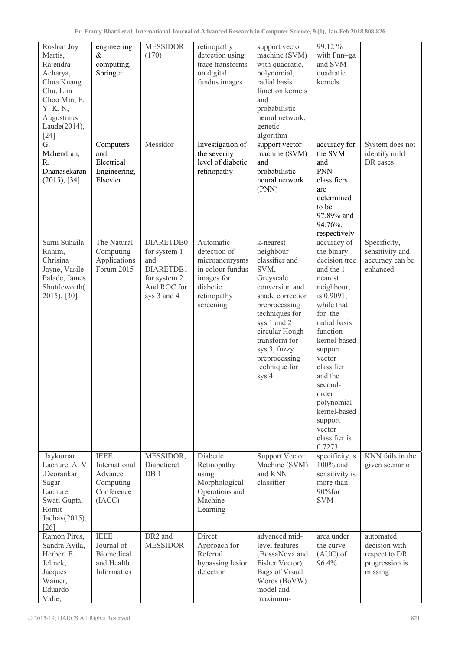| Roshan Joy<br>Martis,<br>Rajendra<br>Acharya,<br>Chua Kuang<br>Chu, Lim<br>Choo Min, E.<br>Y. K. N.<br>Augustinus<br>Laude(2014),<br>$[24]$<br>G. | engineering<br>$\&$<br>computing,<br>Springer<br>Computers                   | <b>MESSIDOR</b><br>(170)<br>Messidor                                                        | retinopathy<br>detection using<br>trace transforms<br>on digital<br>fundus images<br>Investigation of                 | support vector<br>machine (SVM)<br>with quadratic,<br>polynomial,<br>radial basis<br>function kernels<br>and<br>probabilistic<br>neural network,<br>genetic<br>algorithm<br>support vector                                                          | 99.12%<br>with Pnn-ga<br>and SVM<br>quadratic<br>kernels<br>accuracy for                                                                                                                                                                                                                                              | System does not                                                          |
|---------------------------------------------------------------------------------------------------------------------------------------------------|------------------------------------------------------------------------------|---------------------------------------------------------------------------------------------|-----------------------------------------------------------------------------------------------------------------------|-----------------------------------------------------------------------------------------------------------------------------------------------------------------------------------------------------------------------------------------------------|-----------------------------------------------------------------------------------------------------------------------------------------------------------------------------------------------------------------------------------------------------------------------------------------------------------------------|--------------------------------------------------------------------------|
| Mahendran,<br>R.<br>Dhanasekaran<br>(2015), [34]                                                                                                  | and<br>Electrical<br>Engineering,<br>Elsevier                                |                                                                                             | the severity<br>level of diabetic<br>retinopathy                                                                      | machine (SVM)<br>and<br>probabilistic<br>neural network<br>(PNN)                                                                                                                                                                                    | the SVM<br>and<br><b>PNN</b><br>classifiers<br>are<br>determined<br>to be<br>97.89% and<br>94.76%,<br>respectively                                                                                                                                                                                                    | identify mild<br>DR cases                                                |
| Sarni Suhaila<br>Rahim,<br>Chrisina<br>Jayne, Vasile<br>Palade, James<br>Shuttleworth(<br>2015), [30]                                             | The Natural<br>Computing<br>Applications<br>Forum 2015                       | DIARETDB0<br>for system 1<br>and<br>DIARETDB1<br>for system 2<br>And ROC for<br>sys 3 and 4 | Automatic<br>detection of<br>microaneurysms<br>in colour fundus<br>images for<br>diabetic<br>retinopathy<br>screening | k-nearest<br>neighbour<br>classifier and<br>SVM,<br>Greyscale<br>conversion and<br>shade correction<br>preprocessing<br>techniques for<br>sys 1 and 2<br>circular Hough<br>transform for<br>sys 3, fuzzy<br>preprocessing<br>technique for<br>sys 4 | accuracy of<br>the binary<br>decision tree<br>and the 1-<br>nearest<br>neighbour,<br>is 0.9091,<br>while that<br>for the<br>radial basis<br>function<br>kernel-based<br>support<br>vector<br>classifier<br>and the<br>second-<br>order<br>polynomial<br>kernel-based<br>support<br>vector<br>classifier is<br>0.7273. | Specificity,<br>sensitivity and<br>accuracy can be<br>enhanced           |
| Jaykurnar<br>Lachure, A. V<br>.Deorankar,<br>Sagar<br>Lachure,<br>Swati Gupta,<br>Romit<br>Jadhav(2015),<br>$[26]$                                | <b>IEEE</b><br>International<br>Advance<br>Computing<br>Conference<br>(IACC) | MESSIDOR,<br>Diabeticret<br>DB <sub>1</sub>                                                 | Diabetic<br>Retinopathy<br>using<br>Morphological<br>Operations and<br>Machine<br>Learning                            | <b>Support Vector</b><br>Machine (SVM)<br>and KNN<br>classifier                                                                                                                                                                                     | specificity is<br>100% and<br>sensitivity is<br>more than<br>90%for<br><b>SVM</b>                                                                                                                                                                                                                                     | KNN fails in the<br>given scenario                                       |
| Ramon Pires,<br>Sandra Avila,<br>Herbert F.<br>Jelinek,<br>Jacques<br>Wainer,<br>Eduardo<br>Valle,                                                | <b>IEEE</b><br>Journal of<br>Biomedical<br>and Health<br>Informatics         | DR2 and<br><b>MESSIDOR</b>                                                                  | Direct<br>Approach for<br>Referral<br>bypassing lesion<br>detection                                                   | advanced mid-<br>level features<br>(BossaNova and<br>Fisher Vector),<br><b>Bags of Visual</b><br>Words (BoVW)<br>model and<br>maximum-                                                                                                              | area under<br>the curve<br>$(AUC)$ of<br>96.4%                                                                                                                                                                                                                                                                        | automated<br>decision with<br>respect to DR<br>progression is<br>missing |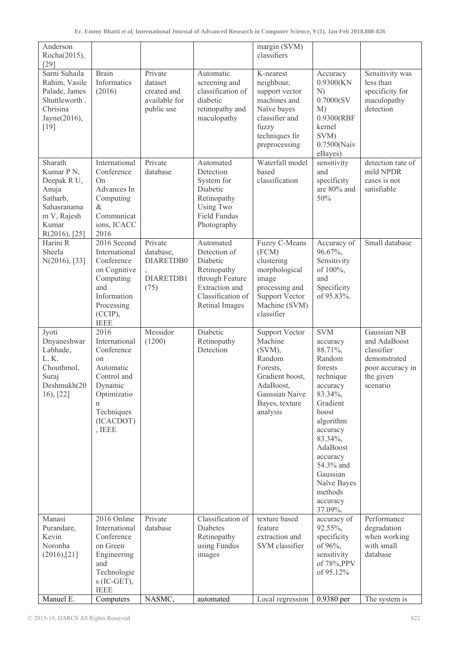| Anderson<br>Rocha(2015),<br>$[29]$                                                                                |                                                                                                                                           |                                                                  |                                                                                                                                  | margin (SVM)<br>classifiers                                                                                                                      |                                                                                                                                                                                                                                                       |                                                                                                        |
|-------------------------------------------------------------------------------------------------------------------|-------------------------------------------------------------------------------------------------------------------------------------------|------------------------------------------------------------------|----------------------------------------------------------------------------------------------------------------------------------|--------------------------------------------------------------------------------------------------------------------------------------------------|-------------------------------------------------------------------------------------------------------------------------------------------------------------------------------------------------------------------------------------------------------|--------------------------------------------------------------------------------------------------------|
| Sarni Suhaila<br>Rahim, Vasile<br>Palade, James<br>Shuttleworth.<br>Chrisina<br>Jayne(2016),<br>[19]              | <b>Brain</b><br>Informatics<br>(2016)                                                                                                     | Private<br>dataset<br>created and<br>available for<br>public use | Automatic<br>screening and<br>classification of<br>diabetic<br>retinopathy and<br>maculopathy                                    | K-nearest<br>neighbour,<br>support vector<br>machines and<br>Naïve bayes<br>classifier and<br>fuzzy<br>techniques fir<br>preprocessing           | Accuracy<br>0.9300(KN<br>N)<br>0.7000(SV)<br>M)<br>0.9300(RBF<br>kernel<br>SVM)<br>0.7500(Naiv<br>eBayes)                                                                                                                                             | Sensitivity was<br>less than<br>specificity for<br>maculopathy<br>detection                            |
| Sharath<br>Kumar P N,<br>Deepak R U,<br>Anuja<br>Satharb,<br>Sahasranama<br>m V, Rajesh<br>Kumar<br>R(2016), [25] | International<br>Conference<br>On<br>Advances In<br>Computing<br>$\&$<br>Communicat<br>ions, ICACC<br>2016                                | Private<br>database                                              | Automated<br>Detection<br>System for<br>Diabetic<br>Retinopathy<br>Using Two<br><b>Field Fundus</b><br>Photography               | Waterfall model<br>based<br>classification                                                                                                       | sensitivity<br>and<br>specificity<br>are 80% and<br>50%                                                                                                                                                                                               | detection rate of<br>mild NPDR<br>cases is not<br>satisfiable                                          |
| Harini R<br>Sheela<br>N(2016), [33]                                                                               | 2016 Second<br>International<br>Conference<br>on Cognitive<br>Computing<br>and<br>Information<br>Processing<br>$(CCIP)$ ,<br><b>IEEE</b>  | Private<br>database,<br>DIARETDB0<br>DIARETDB1<br>(75)           | Automated<br>Detection of<br>Diabetic<br>Retinopathy<br>through Feature<br>Extraction and<br>Classification of<br>Retinal Images | Fuzzy C-Means<br>(FCM)<br>clustering<br>morphological<br>image<br>processing and<br><b>Support Vector</b><br>Machine (SVM)<br>classifier         | Accuracy of<br>96.67%,<br>Sensitivity<br>of 100%,<br>and<br>Specificity<br>of 95.83%.                                                                                                                                                                 | Small database                                                                                         |
| Jyoti<br>Dnyaneshwar<br>Labhade,<br>L.K.<br>Chouthmol,<br>Suraj<br>Deshmukh(20<br>$16$ , [22]                     | 2016<br>International<br>Conference<br>on<br>Automatic<br>Control and<br>Dynamic<br>Optimizatio<br>n<br>Techniques<br>(ICACDOT)<br>, IEEE | Messidor<br>(1200)                                               | Diabetic<br>Retinopathy<br>Detection                                                                                             | <b>Support Vector</b><br>Machine<br>(SVM),<br>Random<br>Forests,<br>Gradient boost,<br>AdaBoost,<br>Gaussian Naive<br>Bayes, texture<br>analysis | <b>SVM</b><br>accuracy<br>88.71%,<br>Random<br>forests<br>technique<br>accuracy<br>83.34%,<br>Gradient<br>boost<br>algorithm<br>accuracy<br>83.34%,<br>AdaBoost<br>accuracy<br>54.3% and<br>Gaussian<br>Naïve Bayes<br>methods<br>accuracy<br>37.09%. | Gaussian NB<br>and AdaBoost<br>classifier<br>demonstrated<br>poor accuracy in<br>the given<br>scenario |
| Manasi<br>Purandare,<br>Kevin<br>Noronha<br>(2016), [21]                                                          | 2016 Online<br>International<br>Conference<br>on Green<br>Engineering<br>and<br>Technologie<br>$S$ (IC-GET),<br><b>IEEE</b>               | Private<br>database                                              | Classification of<br>Diabetes<br>Retinopathy<br>using Fundus<br>images                                                           | texture based<br>feature<br>extraction and<br>SVM classifier                                                                                     | accuracy of<br>92.55%,<br>specificity<br>of 96%,<br>sensitivity<br>of 78%, PPV<br>of 95.12%                                                                                                                                                           | Performance<br>degradation<br>when working<br>with small<br>database                                   |
| Manuel E.                                                                                                         | Computers                                                                                                                                 | NASMC,                                                           | automated                                                                                                                        | Local regression                                                                                                                                 | 0.9380 per                                                                                                                                                                                                                                            | The system is                                                                                          |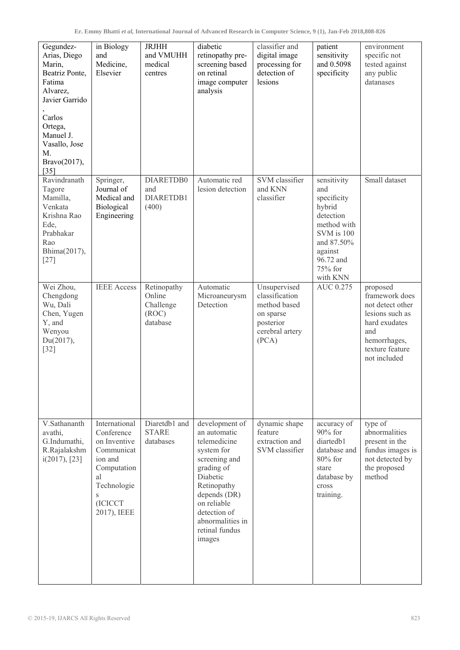| Gegundez-<br>Arias, Diego<br>Marin,<br>Beatriz Ponte,<br>Fatima<br>Alvarez,<br>Javier Garrido<br>Carlos<br>Ortega,<br>Manuel J.<br>Vasallo, Jose<br>M.<br>Bravo(2017),<br>$[35]$ | in Biology<br>and<br>Medicine,<br>Elsevier                                                                                              | <b>JRJHH</b><br>and VMUHH<br>medical<br>centres         | diabetic<br>retinopathy pre-<br>screening based<br>on retinal<br>image computer<br>analysis                                                                                                                           | classifier and<br>digital image<br>processing for<br>detection of<br>lesions                         | patient<br>sensitivity<br>and 0.5098<br>specificity                                                                                                | environment<br>specific not<br>tested against<br>any public<br>datanases                                                                     |
|----------------------------------------------------------------------------------------------------------------------------------------------------------------------------------|-----------------------------------------------------------------------------------------------------------------------------------------|---------------------------------------------------------|-----------------------------------------------------------------------------------------------------------------------------------------------------------------------------------------------------------------------|------------------------------------------------------------------------------------------------------|----------------------------------------------------------------------------------------------------------------------------------------------------|----------------------------------------------------------------------------------------------------------------------------------------------|
| Ravindranath<br>Tagore<br>Mamilla,<br>Venkata<br>Krishna Rao<br>Ede,<br>Prabhakar<br>Rao<br>Bhima(2017),<br>$[27]$                                                               | Springer,<br>Journal of<br>Medical and<br>Biological<br>Engineering                                                                     | DIARETDB0<br>and<br>DIARETDB1<br>(400)                  | Automatic red<br>lesion detection                                                                                                                                                                                     | SVM classifier<br>and KNN<br>classifier                                                              | sensitivity<br>and<br>specificity<br>hybrid<br>detection<br>method with<br>SVM is 100<br>and 87.50%<br>against<br>96.72 and<br>75% for<br>with KNN | Small dataset                                                                                                                                |
| Wei Zhou,<br>Chengdong<br>Wu, Dali<br>Chen, Yugen<br>Y, and<br>Wenyou<br>Du(2017),<br>$[32]$                                                                                     | <b>IEEE</b> Access                                                                                                                      | Retinopathy<br>Online<br>Challenge<br>(ROC)<br>database | Automatic<br>Microaneurysm<br>Detection                                                                                                                                                                               | Unsupervised<br>classification<br>method based<br>on sparse<br>posterior<br>cerebral artery<br>(PCA) | AUC 0.275                                                                                                                                          | proposed<br>framework does<br>not detect other<br>lesions such as<br>hard exudates<br>and<br>hemorrhages,<br>texture feature<br>not included |
| V.Sathananth<br>avathi,<br>G.Indumathi,<br>R.Rajalakshm<br>i(2017), [23]                                                                                                         | International<br>Conference<br>on Inventive<br>Communicat<br>ion and<br>Computation<br>al<br>Technologie<br>S<br>(ICICCT<br>2017), IEEE | Diaretdb1 and<br><b>STARE</b><br>databases              | development of<br>an automatic<br>telemedicine<br>system for<br>screening and<br>grading of<br>Diabetic<br>Retinopathy<br>depends (DR)<br>on reliable<br>detection of<br>abnormalities in<br>retinal fundus<br>images | dynamic shape<br>feature<br>extraction and<br>SVM classifier                                         | accuracy of<br>$90\%$ for<br>diartedb1<br>database and<br>$80\%$ for<br>stare<br>database by<br>cross<br>training.                                 | type of<br>abnormalities<br>present in the<br>fundus images is<br>not detected by<br>the proposed<br>method                                  |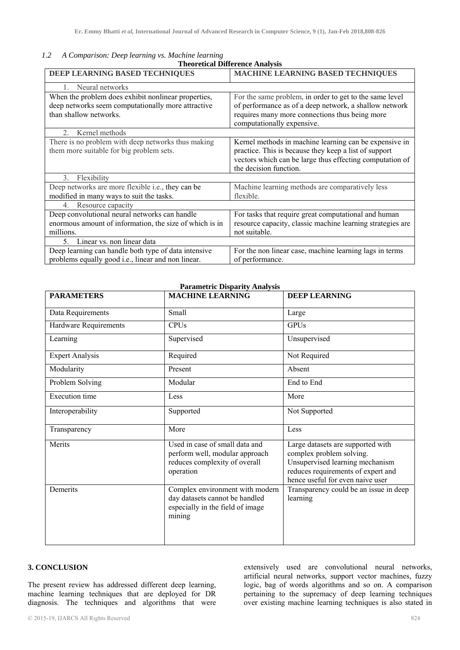| 1.2 | A Comparison: Deep learning vs. Machine learning |
|-----|--------------------------------------------------|
|     | <b>Theoretical Difference Analysis</b>           |

| DEEP LEARNING BASED TECHNIQUES                                                                                                      | MACHINE LEARNING BASED TECHNIQUES                                                                                                                                                                     |
|-------------------------------------------------------------------------------------------------------------------------------------|-------------------------------------------------------------------------------------------------------------------------------------------------------------------------------------------------------|
| Neural networks                                                                                                                     |                                                                                                                                                                                                       |
| When the problem does exhibit nonlinear properties,<br>deep networks seem computationally more attractive<br>than shallow networks. | For the same problem, in order to get to the same level<br>of performance as of a deep network, a shallow network<br>requires many more connections thus being more<br>computationally expensive.     |
| Kernel methods<br>$\mathfrak{D}$                                                                                                    |                                                                                                                                                                                                       |
| There is no problem with deep networks thus making<br>them more suitable for big problem sets.                                      | Kernel methods in machine learning can be expensive in<br>practice. This is because they keep a list of support<br>vectors which can be large thus effecting computation of<br>the decision function. |
| Flexibility<br>$\mathcal{E}$                                                                                                        |                                                                                                                                                                                                       |
| Deep networks are more flexible i.e., they can be<br>modified in many ways to suit the tasks.                                       | Machine learning methods are comparatively less<br>flexible.                                                                                                                                          |
| Resource capacity<br>$4_{\cdot}$                                                                                                    |                                                                                                                                                                                                       |
| Deep convolutional neural networks can handle<br>enormous amount of information, the size of which is in<br>millions.               | For tasks that require great computational and human<br>resource capacity, classic machine learning strategies are<br>not suitable.                                                                   |
| Linear vs. non linear data<br>5.                                                                                                    |                                                                                                                                                                                                       |
| Deep learning can handle both type of data intensive<br>problems equally good i.e., linear and non linear.                          | For the non linear case, machine learning lags in terms<br>of performance.                                                                                                                            |

# **Parametric Disparity Analysis**

| <b>PARAMETERS</b>      | <b>MACHINE LEARNING</b>                                                                                         | <b>DEEP LEARNING</b>                                                                                                                                                       |
|------------------------|-----------------------------------------------------------------------------------------------------------------|----------------------------------------------------------------------------------------------------------------------------------------------------------------------------|
| Data Requirements      | Small                                                                                                           | Large                                                                                                                                                                      |
| Hardware Requirements  | <b>CPUs</b>                                                                                                     | <b>GPUs</b>                                                                                                                                                                |
| Learning               | Supervised                                                                                                      | Unsupervised                                                                                                                                                               |
| <b>Expert Analysis</b> | Required                                                                                                        | Not Required                                                                                                                                                               |
| Modularity             | Present                                                                                                         | Absent                                                                                                                                                                     |
| Problem Solving        | Modular                                                                                                         | End to End                                                                                                                                                                 |
| Execution time         | Less                                                                                                            | More                                                                                                                                                                       |
| Interoperability       | Supported                                                                                                       | Not Supported                                                                                                                                                              |
| Transparency           | More                                                                                                            | Less                                                                                                                                                                       |
| Merits                 | Used in case of small data and<br>perform well, modular approach<br>reduces complexity of overall<br>operation  | Large datasets are supported with<br>complex problem solving.<br>Unsupervised learning mechanism<br>reduces requirements of expert and<br>hence useful for even naive user |
| Demerits               | Complex environment with modern<br>day datasets cannot be handled<br>especially in the field of image<br>mining | Transparency could be an issue in deep<br>learning                                                                                                                         |

# **3. CONCLUSION**

The present review has addressed different deep learning, machine learning techniques that are deployed for DR diagnosis. The techniques and algorithms that were extensively used are convolutional neural networks, artificial neural networks, support vector machines, fuzzy logic, bag of words algorithms and so on. A comparison pertaining to the supremacy of deep learning techniques over existing machine learning techniques is also stated in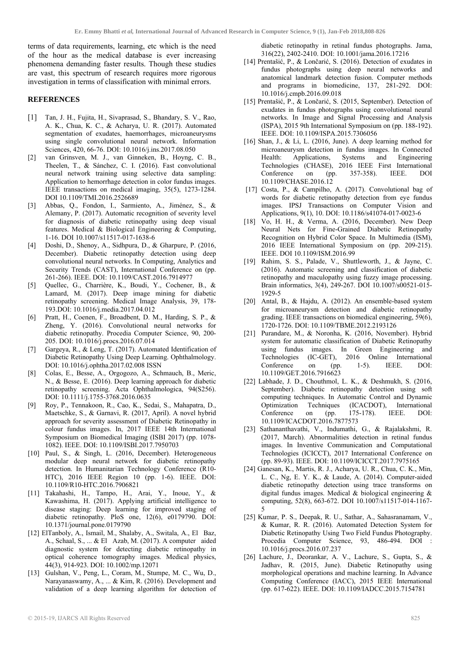terms of data requirements, learning, etc which is the need of the hour as the medical database is ever increasing phenomena demanding faster results. Though these studies are vast, this spectrum of research requires more rigorous investigation in terms of classification with minimal errors.

#### **REFERENCES**

- [1] Tan, J. H., Fujita, H., Sivaprasad, S., Bhandary, S. V., Rao, A. K., Chua, K. C., & Acharya, U. R. (2017). Automated segmentation of exudates, haemorrhages, microaneurysms using single convolutional neural network. Information Sciences, 420, 66-76. DOI: 10.1016/j.ins.2017.08.050
- [2] van Grinsven, M. J., van Ginneken, B., Hoyng, C. B., Theelen, T., & Sánchez, C. I. (2016). Fast convolutional neural network training using selective data sampling: Application to hemorrhage detection in color fundus images. IEEE transactions on medical imaging, 35(5), 1273-1284. DOI 10.1109/TMI.2016.2526689
- [3] Abbas, Q., Fondon, I., Sarmiento, A., Jiménez, S., & Alemany, P. (2017). Automatic recognition of severity level for diagnosis of diabetic retinopathy using deep visual features. Medical & Biological Engineering & Computing, 1-16. DOI 10.1007/s11517-017-1638-6
- [4] Doshi, D., Shenoy, A., Sidhpura, D., & Gharpure, P. (2016, December). Diabetic retinopathy detection using deep convolutional neural networks. In Computing, Analytics and Security Trends (CAST), International Conference on (pp. 261-266). IEEE. DOI: 10.1109/CAST.2016.7914977
- [5] Quellec, G., Charrière, K., Boudi, Y., Cochener, B., & Lamard, M. (2017). Deep image mining for diabetic retinopathy screening. Medical Image Analysis, 39, 178- 193.DOI: 10.1016/j.media.2017.04.012
- [6] Pratt, H., Coenen, F., Broadbent, D. M., Harding, S. P., & Zheng, Y. (2016). Convolutional neural networks for diabetic retinopathy. Procedia Computer Science, 90, 200- 205. DOI: 10.1016/j.procs.2016.07.014
- [7] Gargeya, R., & Leng, T. (2017). Automated Identification of Diabetic Retinopathy Using Deep Learning. Ophthalmology. DOI: 10.1016/j.ophtha.2017.02.008 ISSN
- [8] Colas, E., Besse, A., Orgogozo, A., Schmauch, B., Meric, N., & Besse, E. (2016). Deep learning approach for diabetic retinopathy screening. Acta Ophthalmologica, 94(S256). DOI: 10.1111/j.1755-3768.2016.0635
- [9] Roy, P., Tennakoon, R., Cao, K., Sedai, S., Mahapatra, D., Maetschke, S., & Garnavi, R. (2017, April). A novel hybrid approach for severity assessment of Diabetic Retinopathy in colour fundus images. In, 2017 IEEE 14th International Symposium on Biomedical Imaging (ISBI 2017) (pp. 1078- 1082). IEEE. DOI: 10.1109/ISBI.2017.7950703
- [10] Paul, S., & Singh, L. (2016, December). Heterogeneous modular deep neural network for diabetic retinopathy detection. In Humanitarian Technology Conference (R10- HTC), 2016 IEEE Region 10 (pp. 1-6). IEEE. DOI: 10.1109/R10-HTC.2016.7906821
- [11] Takahashi, H., Tampo, H., Arai, Y., Inoue, Y., & Kawashima, H. (2017). Applying artificial intelligence to disease staging: Deep learning for improved staging of diabetic retinopathy. PloS one, 12(6), e0179790. DOI: 10.1371/journal.pone.0179790
- [12] ElTanboly, A., Ismail, M., Shalaby, A., Switala, A., El Baz, A., Schaal, S., ... & El Azab, M. (2017). A computer aided diagnostic system for detecting diabetic retinopathy in optical coherence tomography images. Medical physics, 44(3), 914-923. DOI: 10.1002/mp.12071
- [13] Gulshan, V., Peng, L., Coram, M., Stumpe, M. C., Wu, D., Narayanaswamy, A., ... & Kim, R. (2016). Development and validation of a deep learning algorithm for detection of

diabetic retinopathy in retinal fundus photographs. Jama, 316(22), 2402-2410. DOI: 10.1001/jama.2016.17216

- [14] Prentašić, P., & Lončarić, S. (2016). Detection of exudates in fundus photographs using deep neural networks and anatomical landmark detection fusion. Computer methods and programs in biomedicine, 137, 281-292. DOI: 10.1016/j.cmpb.2016.09.018
- [15] Prentašić, P., & Lončarić, S. (2015, September). Detection of exudates in fundus photographs using convolutional neural networks. In Image and Signal Processing and Analysis (ISPA), 2015 9th International Symposium on (pp. 188-192). IEEE. DOI: 10.1109/ISPA.2015.7306056
- [16] Shan, J., & Li, L. (2016, June). A deep learning method for microaneurysm detection in fundus images. In Connected Health: Applications, Systems and Engineering Technologies (CHASE), 2016 IEEE First International Conference on (pp. 357-358). IEEE. DOI 10.1109/CHASE.2016.12
- [17] Costa, P., & Campilho, A. (2017). Convolutional bag of words for diabetic retinopathy detection from eye fundus images. IPSJ Transactions on Computer Vision and Applications, 9(1), 10. DOI: 10.1186/s41074-017-0023-6
- [18] Vo, H. H., & Verma, A. (2016, December). New Deep Neural Nets for Fine-Grained Diabetic Retinopathy Recognition on Hybrid Color Space. In Multimedia (ISM), 2016 IEEE International Symposium on (pp. 209-215). IEEE. DOI 10.1109/ISM.2016.99
- [19] Rahim, S. S., Palade, V., Shuttleworth, J., & Jayne, C. (2016). Automatic screening and classification of diabetic retinopathy and maculopathy using fuzzy image processing. Brain informatics, 3(4), 249-267. DOI 10.1007/s00521-015- 1929-5
- [20] Antal, B., & Hajdu, A. (2012). An ensemble-based system for microaneurysm detection and diabetic retinopathy grading. IEEE transactions on biomedical engineering, 59(6), 1720-1726. DOI: 10.1109/TBME.2012.2193126
- [21] Purandare, M., & Noronha, K. (2016, November). Hybrid system for automatic classification of Diabetic Retinopathy using fundus images. In Green Engineering and Technologies (IC-GET), 2016 Online International Conference on (pp. 1-5). IEEE. DOI: 10.1109/GET.2016.7916623
- [22] Labhade, J. D., Chouthmol, L. K., & Deshmukh, S. (2016, September). Diabetic retinopathy detection using soft computing techniques. In Automatic Control and Dynamic Optimization Techniques (ICACDOT), International Conference on (pp. 175-178). IEEE. DOI: 10.1109/ICACDOT.2016.7877573
- [23] Sathananthavathi, V., Indumathi, G., & Rajalakshmi, R. (2017, March). Abnormalities detection in retinal fundus images. In Inventive Communication and Computational Technologies (ICICCT), 2017 International Conference on (pp. 89-93). IEEE. DOI: 10.1109/ICICCT.2017.7975165
- [24] Ganesan, K., Martis, R. J., Acharya, U. R., Chua, C. K., Min, L. C., Ng, E. Y. K., & Laude, A. (2014). Computer-aided diabetic retinopathy detection using trace transforms on digital fundus images. Medical & biological engineering & computing, 52(8), 663-672. DOI 10.1007/s11517-014-1167- 5
- [25] Kumar, P. S., Deepak, R. U., Sathar, A., Sahasranamam, V., & Kumar, R. R. (2016). Automated Detection System for Diabetic Retinopathy Using Two Field Fundus Photography. Procedia Computer Science, 93, 486-494. DOI 10.1016/j.procs.2016.07.237
- [26] Lachure, J., Deorankar, A. V., Lachure, S., Gupta, S., & Jadhav, R. (2015, June). Diabetic Retinopathy using morphological operations and machine learning. In Advance Computing Conference (IACC), 2015 IEEE International (pp. 617-622). IEEE. DOI: 10.1109/IADCC.2015.7154781